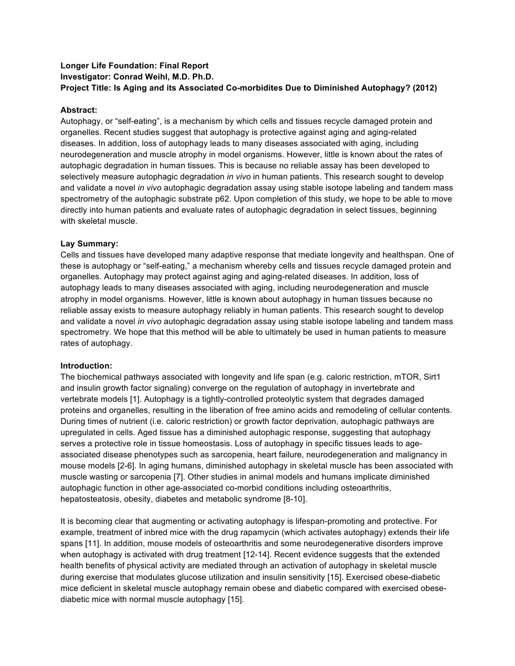# **Longer Life Foundation: Final Report Investigator: Conrad Weihl, M.D. Ph.D. Project Title: Is Aging and its Associated Co-morbidites Due to Diminished Autophagy? (2012)**

### **Abstract:**

Autophagy, or "self-eating", is a mechanism by which cells and tissues recycle damaged protein and organelles. Recent studies suggest that autophagy is protective against aging and aging-related diseases. In addition, loss of autophagy leads to many diseases associated with aging, including neurodegeneration and muscle atrophy in model organisms. However, little is known about the rates of autophagic degradation in human tissues. This is because no reliable assay has been developed to selectively measure autophagic degradation *in vivo* in human patients. This research sought to develop and validate a novel *in vivo* autophagic degradation assay using stable isotope labeling and tandem mass spectrometry of the autophagic substrate p62. Upon completion of this study, we hope to be able to move directly into human patients and evaluate rates of autophagic degradation in select tissues, beginning with skeletal muscle.

#### **Lay Summary:**

Cells and tissues have developed many adaptive response that mediate longevity and healthspan. One of these is autophagy or "self-eating," a mechanism whereby cells and tissues recycle damaged protein and organelles. Autophagy may protect against aging and aging-related diseases. In addition, loss of autophagy leads to many diseases associated with aging, including neurodegeneration and muscle atrophy in model organisms. However, little is known about autophagy in human tissues because no reliable assay exists to measure autophagy reliably in human patients. This research sought to develop and validate a novel *in vivo* autophagic degradation assay using stable isotope labeling and tandem mass spectrometry. We hope that this method will be able to ultimately be used in human patients to measure rates of autophagy.

## **Introduction:**

The biochemical pathways associated with longevity and life span (e.g. caloric restriction, mTOR, Sirt1 and insulin growth factor signaling) converge on the regulation of autophagy in invertebrate and vertebrate models [1]. Autophagy is a tightly-controlled proteolytic system that degrades damaged proteins and organelles, resulting in the liberation of free amino acids and remodeling of cellular contents. During times of nutrient (i.e. caloric restriction) or growth factor deprivation, autophagic pathways are upregulated in cells. Aged tissue has a diminished autophagic response, suggesting that autophagy serves a protective role in tissue homeostasis. Loss of autophagy in specific tissues leads to ageassociated disease phenotypes such as sarcopenia, heart failure, neurodegeneration and malignancy in mouse models [2-6]. In aging humans, diminished autophagy in skeletal muscle has been associated with muscle wasting or sarcopenia [7]. Other studies in animal models and humans implicate diminished autophagic function in other age-associated co-morbid conditions including osteoarthritis, hepatosteatosis, obesity, diabetes and metabolic syndrome [8-10].

It is becoming clear that augmenting or activating autophagy is lifespan-promoting and protective. For example, treatment of inbred mice with the drug rapamycin (which activates autophagy) extends their life spans [11]. In addition, mouse models of osteoarthritis and some neurodegenerative disorders improve when autophagy is activated with drug treatment [12-14]. Recent evidence suggests that the extended health benefits of physical activity are mediated through an activation of autophagy in skeletal muscle during exercise that modulates glucose utilization and insulin sensitivity [15]. Exercised obese-diabetic mice deficient in skeletal muscle autophagy remain obese and diabetic compared with exercised obesediabetic mice with normal muscle autophagy [15].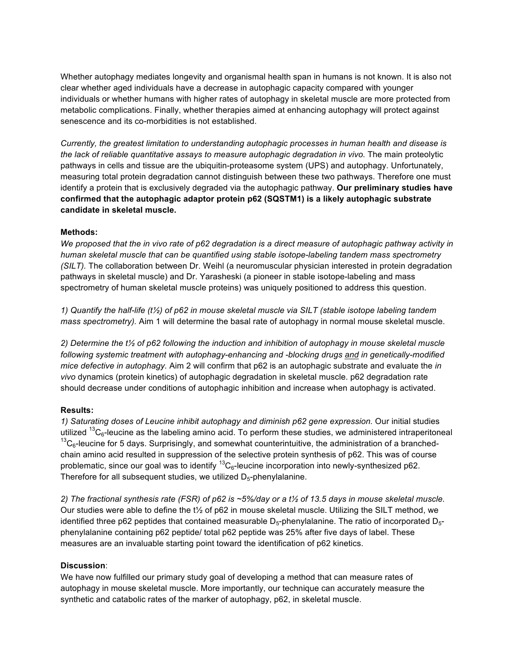Whether autophagy mediates longevity and organismal health span in humans is not known. It is also not clear whether aged individuals have a decrease in autophagic capacity compared with younger individuals or whether humans with higher rates of autophagy in skeletal muscle are more protected from metabolic complications. Finally, whether therapies aimed at enhancing autophagy will protect against senescence and its co-morbidities is not established.

*Currently, the greatest limitation to understanding autophagic processes in human health and disease is the lack of reliable quantitative assays to measure autophagic degradation in vivo.* The main proteolytic pathways in cells and tissue are the ubiquitin-proteasome system (UPS) and autophagy. Unfortunately, measuring total protein degradation cannot distinguish between these two pathways. Therefore one must identify a protein that is exclusively degraded via the autophagic pathway. **Our preliminary studies have confirmed that the autophagic adaptor protein p62 (SQSTM1) is a likely autophagic substrate candidate in skeletal muscle.** 

#### **Methods:**

*We proposed that the in vivo rate of p62 degradation is a direct measure of autophagic pathway activity in human skeletal muscle that can be quantified using stable isotope-labeling tandem mass spectrometry (SILT).* The collaboration between Dr. Weihl (a neuromuscular physician interested in protein degradation pathways in skeletal muscle) and Dr. Yarasheski (a pioneer in stable isotope-labeling and mass spectrometry of human skeletal muscle proteins) was uniquely positioned to address this question.

*1) Quantify the half-life (t½) of p62 in mouse skeletal muscle via SILT (stable isotope labeling tandem mass spectrometry).* Aim 1 will determine the basal rate of autophagy in normal mouse skeletal muscle.

*2) Determine the t½ of p62 following the induction and inhibition of autophagy in mouse skeletal muscle following systemic treatment with autophagy-enhancing and -blocking drugs and in genetically-modified mice defective in autophagy.* Aim 2 will confirm that p62 is an autophagic substrate and evaluate the *in vivo* dynamics (protein kinetics) of autophagic degradation in skeletal muscle. p62 degradation rate should decrease under conditions of autophagic inhibition and increase when autophagy is activated.

## **Results:**

*1) Saturating doses of Leucine inhibit autophagy and diminish p62 gene expression.* Our initial studies utilized  $13C_6$ -leucine as the labeling amino acid. To perform these studies, we administered intraperitoneal  $^{13}$ C<sub>6</sub>-leucine for 5 days. Surprisingly, and somewhat counterintuitive, the administration of a branchedchain amino acid resulted in suppression of the selective protein synthesis of p62. This was of course problematic, since our goal was to identify  ${}^{13}C_6$ -leucine incorporation into newly-synthesized p62. Therefore for all subsequent studies, we utilized  $D_5$ -phenylalanine.

*2) The fractional synthesis rate (FSR) of p62 is ~5%/day or a t½ of 13.5 days in mouse skeletal muscle.* Our studies were able to define the t½ of p62 in mouse skeletal muscle. Utilizing the SILT method, we identified three p62 peptides that contained measurable  $D_5$ -phenylalanine. The ratio of incorporated  $D_5$ phenylalanine containing p62 peptide/ total p62 peptide was 25% after five days of label. These measures are an invaluable starting point toward the identification of p62 kinetics.

#### **Discussion**:

We have now fulfilled our primary study goal of developing a method that can measure rates of autophagy in mouse skeletal muscle. More importantly, our technique can accurately measure the synthetic and catabolic rates of the marker of autophagy, p62, in skeletal muscle.